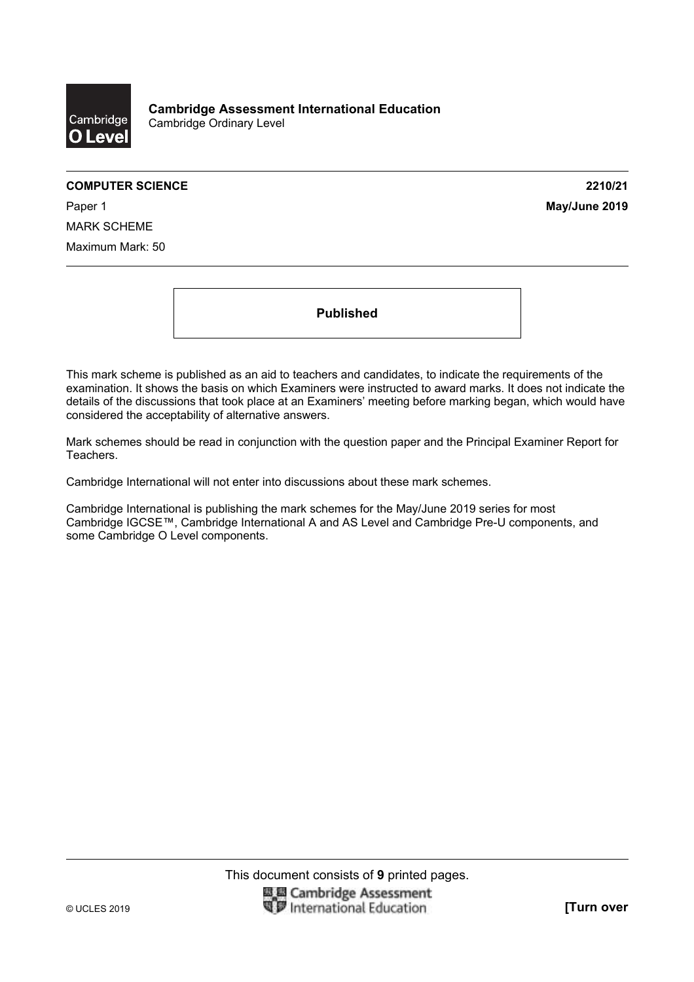

#### **COMPUTER SCIENCE** 2210/21

Paper 1 **May/June 2019** MARK SCHEME Maximum Mark: 50

**Published** 

This mark scheme is published as an aid to teachers and candidates, to indicate the requirements of the examination. It shows the basis on which Examiners were instructed to award marks. It does not indicate the details of the discussions that took place at an Examiners' meeting before marking began, which would have considered the acceptability of alternative answers.

Mark schemes should be read in conjunction with the question paper and the Principal Examiner Report for Teachers.

Cambridge International will not enter into discussions about these mark schemes.

Cambridge International is publishing the mark schemes for the May/June 2019 series for most Cambridge IGCSE™, Cambridge International A and AS Level and Cambridge Pre-U components, and some Cambridge O Level components.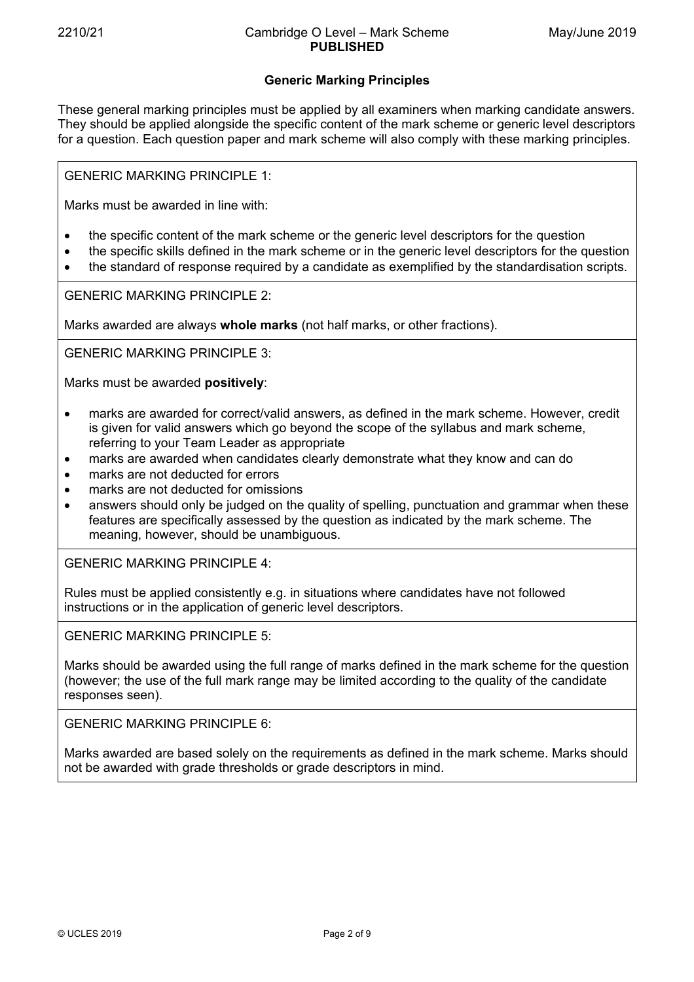# **Generic Marking Principles**

These general marking principles must be applied by all examiners when marking candidate answers. They should be applied alongside the specific content of the mark scheme or generic level descriptors for a question. Each question paper and mark scheme will also comply with these marking principles.

GENERIC MARKING PRINCIPLE 1:

Marks must be awarded in line with:

- the specific content of the mark scheme or the generic level descriptors for the question
- the specific skills defined in the mark scheme or in the generic level descriptors for the question
- the standard of response required by a candidate as exemplified by the standardisation scripts.

GENERIC MARKING PRINCIPLE 2:

Marks awarded are always **whole marks** (not half marks, or other fractions).

GENERIC MARKING PRINCIPLE 3:

Marks must be awarded **positively**:

- marks are awarded for correct/valid answers, as defined in the mark scheme. However, credit is given for valid answers which go beyond the scope of the syllabus and mark scheme, referring to your Team Leader as appropriate
- marks are awarded when candidates clearly demonstrate what they know and can do
- marks are not deducted for errors
- marks are not deducted for omissions
- answers should only be judged on the quality of spelling, punctuation and grammar when these features are specifically assessed by the question as indicated by the mark scheme. The meaning, however, should be unambiguous.

GENERIC MARKING PRINCIPLE 4:

Rules must be applied consistently e.g. in situations where candidates have not followed instructions or in the application of generic level descriptors.

GENERIC MARKING PRINCIPLE 5:

Marks should be awarded using the full range of marks defined in the mark scheme for the question (however; the use of the full mark range may be limited according to the quality of the candidate responses seen).

GENERIC MARKING PRINCIPLE 6:

Marks awarded are based solely on the requirements as defined in the mark scheme. Marks should not be awarded with grade thresholds or grade descriptors in mind.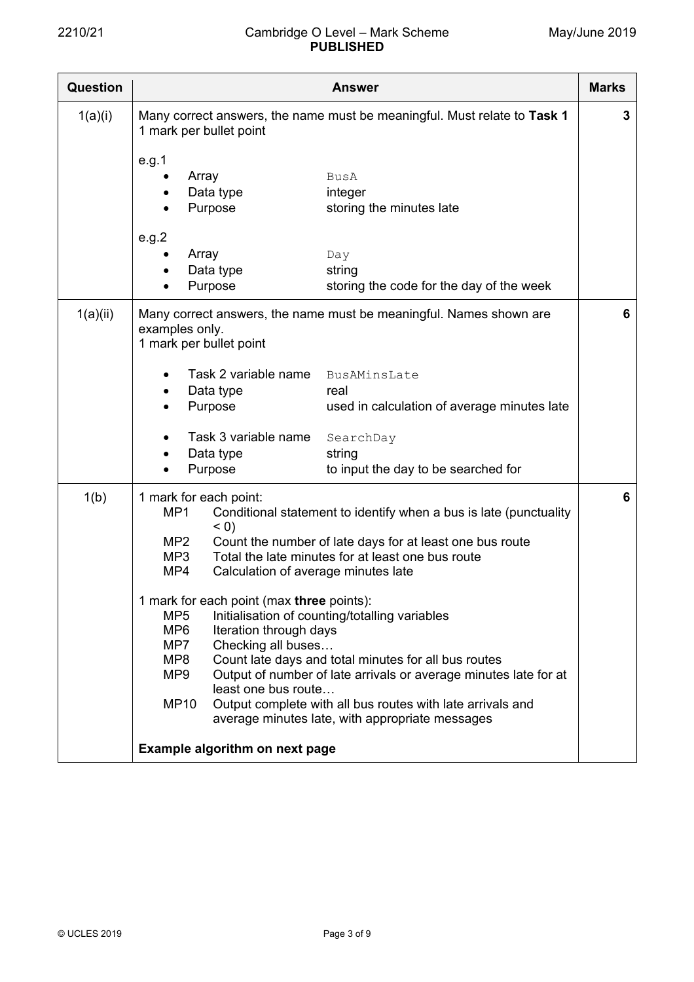| <b>Question</b>                | <b>Answer</b>                                                                                                                                                                                                                                                                                                                                                                                                                                                                             |  |  |  |  |
|--------------------------------|-------------------------------------------------------------------------------------------------------------------------------------------------------------------------------------------------------------------------------------------------------------------------------------------------------------------------------------------------------------------------------------------------------------------------------------------------------------------------------------------|--|--|--|--|
| 1(a)(i)                        | Many correct answers, the name must be meaningful. Must relate to Task 1<br>1 mark per bullet point                                                                                                                                                                                                                                                                                                                                                                                       |  |  |  |  |
|                                | e.g.1<br>Array<br>BusA<br>Data type<br>integer<br>Purpose<br>storing the minutes late                                                                                                                                                                                                                                                                                                                                                                                                     |  |  |  |  |
|                                | e.g.2<br>Array<br>Day<br>Data type<br>string<br>Purpose<br>storing the code for the day of the week                                                                                                                                                                                                                                                                                                                                                                                       |  |  |  |  |
| 1(a)(ii)                       | Many correct answers, the name must be meaningful. Names shown are<br>examples only.<br>1 mark per bullet point                                                                                                                                                                                                                                                                                                                                                                           |  |  |  |  |
|                                | Task 2 variable name<br>BusAMinsLate<br>$\bullet$<br>Data type<br>real<br>٠<br>Purpose<br>used in calculation of average minutes late                                                                                                                                                                                                                                                                                                                                                     |  |  |  |  |
|                                | Task 3 variable name<br>SearchDay<br>Data type<br>string<br>Purpose<br>to input the day to be searched for<br>$\bullet$                                                                                                                                                                                                                                                                                                                                                                   |  |  |  |  |
| 1(b)                           | 1 mark for each point:<br>MP1<br>Conditional statement to identify when a bus is late (punctuality<br>(0)<br>Count the number of late days for at least one bus route<br>MP <sub>2</sub><br>Total the late minutes for at least one bus route<br>MP3<br>MP4<br>Calculation of average minutes late                                                                                                                                                                                        |  |  |  |  |
|                                | 1 mark for each point (max three points):<br>Initialisation of counting/totalling variables<br>MP <sub>5</sub><br>MP <sub>6</sub><br>Iteration through days<br>Checking all buses<br>MP7<br>MP8<br>Count late days and total minutes for all bus routes<br>MP9<br>Output of number of late arrivals or average minutes late for at<br>least one bus route<br><b>MP10</b><br>Output complete with all bus routes with late arrivals and<br>average minutes late, with appropriate messages |  |  |  |  |
| Example algorithm on next page |                                                                                                                                                                                                                                                                                                                                                                                                                                                                                           |  |  |  |  |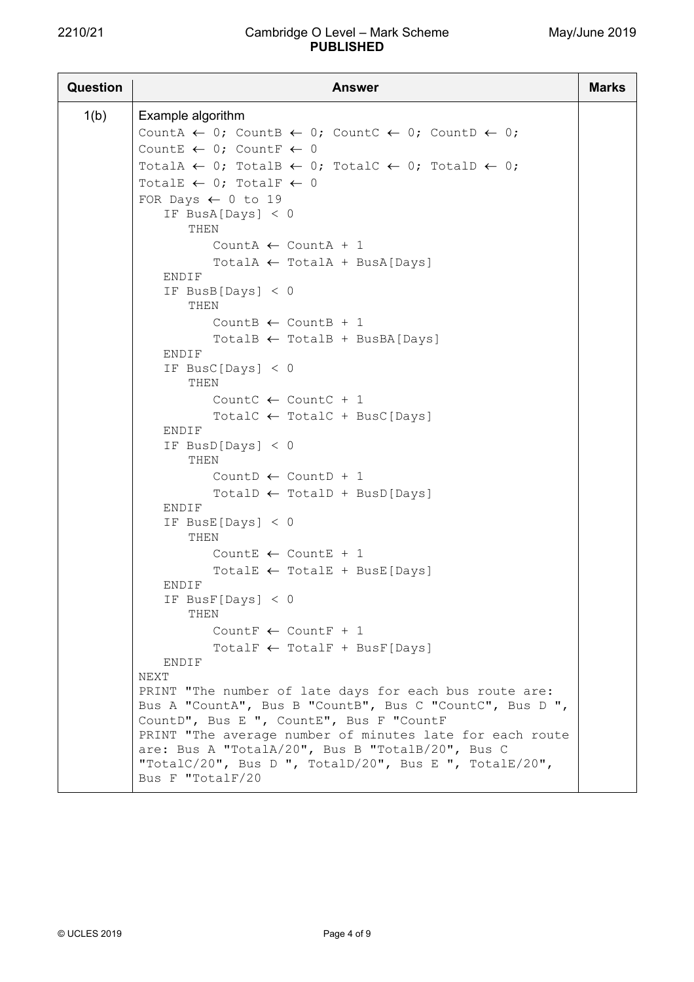## 2210/21 Cambridge O Level – Mark Scheme **PUBLISHED**

| <b>Question</b> | <b>Answer</b>                                                                                                                                                                              |  |  |  |  |  |
|-----------------|--------------------------------------------------------------------------------------------------------------------------------------------------------------------------------------------|--|--|--|--|--|
| 1(b)            | Example algorithm                                                                                                                                                                          |  |  |  |  |  |
|                 | CountA $\leftarrow$ 0; CountB $\leftarrow$ 0; CountC $\leftarrow$ 0; CountD $\leftarrow$ 0;                                                                                                |  |  |  |  |  |
|                 | CountE $\leftarrow 0$ ; CountF $\leftarrow 0$                                                                                                                                              |  |  |  |  |  |
|                 | TotalA $\leftarrow$ 0; TotalB $\leftarrow$ 0; TotalC $\leftarrow$ 0; TotalD $\leftarrow$ 0;                                                                                                |  |  |  |  |  |
|                 | TotalE $\leftarrow$ 0; TotalF $\leftarrow$ 0                                                                                                                                               |  |  |  |  |  |
|                 | FOR Days $\leftarrow$ 0 to 19                                                                                                                                                              |  |  |  |  |  |
|                 | IF BusA[Days] $< 0$<br>THEN                                                                                                                                                                |  |  |  |  |  |
|                 | CountA $\leftarrow$ CountA + 1                                                                                                                                                             |  |  |  |  |  |
|                 | $TotalA \leftarrow TotalA + BusA[DayS]$                                                                                                                                                    |  |  |  |  |  |
|                 | ENDIF<br>IF BusB[Days] $< 0$<br>THEN                                                                                                                                                       |  |  |  |  |  |
|                 | CountB $\leftarrow$ CountB + 1                                                                                                                                                             |  |  |  |  |  |
|                 | TotalB $\leftarrow$ TotalB + BusBA [Days]                                                                                                                                                  |  |  |  |  |  |
|                 | ENDIF                                                                                                                                                                                      |  |  |  |  |  |
|                 | IF BusC[Days] $< 0$<br>THEN                                                                                                                                                                |  |  |  |  |  |
|                 | CountC $\leftarrow$ CountC + 1                                                                                                                                                             |  |  |  |  |  |
|                 | TotalC $\leftarrow$ TotalC + BusC[Days]                                                                                                                                                    |  |  |  |  |  |
|                 | ENDIF                                                                                                                                                                                      |  |  |  |  |  |
|                 | IF BusD[Days] $< 0$<br>THEN                                                                                                                                                                |  |  |  |  |  |
|                 | Count $\leftarrow$ Count $\Gamma$ + 1                                                                                                                                                      |  |  |  |  |  |
|                 | $TotalD \leftarrow TotalD + BusD[Days]$<br>ENDIF                                                                                                                                           |  |  |  |  |  |
|                 | IF BusE [Days] $< 0$<br>THEN                                                                                                                                                               |  |  |  |  |  |
|                 | CountE $\leftarrow$ CountE + 1                                                                                                                                                             |  |  |  |  |  |
|                 | TotalE $\leftarrow$ TotalE + BusE[Days]                                                                                                                                                    |  |  |  |  |  |
|                 | ENDIF<br>IF $BusF[Days] < 0$                                                                                                                                                               |  |  |  |  |  |
|                 | THEN                                                                                                                                                                                       |  |  |  |  |  |
|                 | Count $\leftarrow$ Count F + 1                                                                                                                                                             |  |  |  |  |  |
|                 | TotalF $\leftarrow$ TotalF + BusF[Days]<br>ENDIF                                                                                                                                           |  |  |  |  |  |
|                 | NEXT                                                                                                                                                                                       |  |  |  |  |  |
|                 | PRINT "The number of late days for each bus route are:<br>Bus A "CountA", Bus B "CountB", Bus C "CountC", Bus D ",<br>CountD", Bus E ", CountE", Bus F "CountF                             |  |  |  |  |  |
|                 | PRINT "The average number of minutes late for each route<br>are: Bus A "TotalA/20", Bus B "TotalB/20", Bus C<br>"TotalC/20", Bus D ", TotalD/20", Bus E ", TotalE/20",<br>Bus F "TotalF/20 |  |  |  |  |  |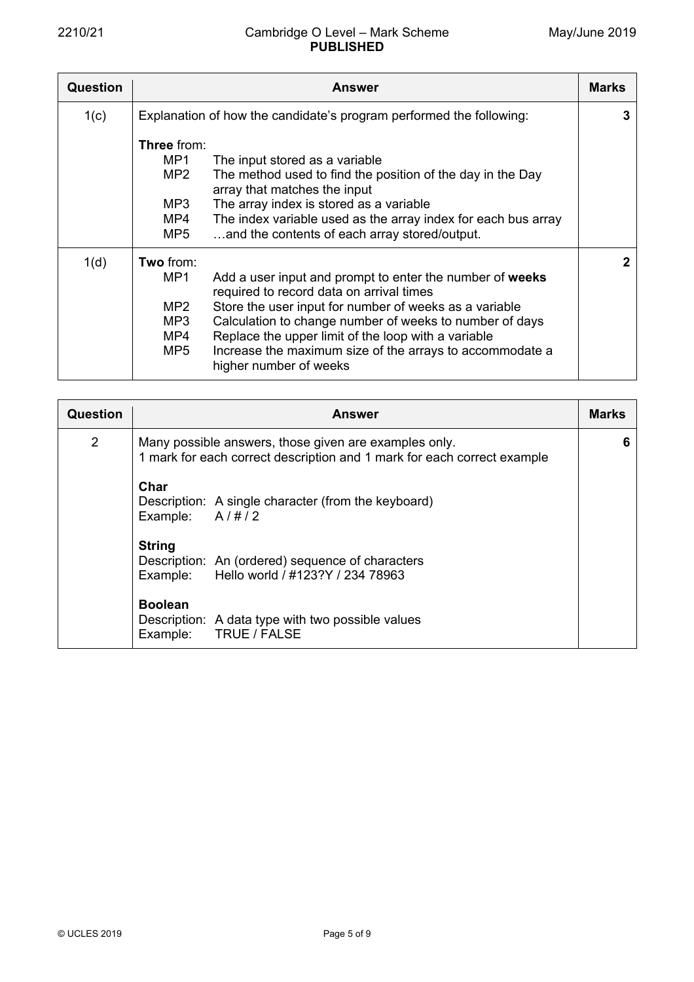| Question | <b>Answer</b>                                                                                               |              |  |  |  |  |
|----------|-------------------------------------------------------------------------------------------------------------|--------------|--|--|--|--|
| 1(c)     | Explanation of how the candidate's program performed the following:                                         | 3            |  |  |  |  |
|          | <b>Three</b> from:                                                                                          |              |  |  |  |  |
|          | MP1<br>The input stored as a variable                                                                       |              |  |  |  |  |
|          | MP2<br>The method used to find the position of the day in the Day<br>array that matches the input           |              |  |  |  |  |
|          | The array index is stored as a variable<br>MP3                                                              |              |  |  |  |  |
|          | MP4<br>The index variable used as the array index for each bus array                                        |              |  |  |  |  |
|          | and the contents of each array stored/output.<br>MP5                                                        |              |  |  |  |  |
| 1(d)     | Two from:                                                                                                   | $\mathbf{2}$ |  |  |  |  |
|          | MP1<br>Add a user input and prompt to enter the number of weeks<br>required to record data on arrival times |              |  |  |  |  |
|          | MP <sub>2</sub><br>Store the user input for number of weeks as a variable                                   |              |  |  |  |  |
|          | Calculation to change number of weeks to number of days<br>MP3                                              |              |  |  |  |  |
|          | Replace the upper limit of the loop with a variable<br>MP4                                                  |              |  |  |  |  |
|          | Increase the maximum size of the arrays to accommodate a<br>MP5<br>higher number of weeks                   |              |  |  |  |  |

| Question       | <b>Answer</b>                                                                                                                    |  |  |  |  |  |
|----------------|----------------------------------------------------------------------------------------------------------------------------------|--|--|--|--|--|
| $\overline{2}$ | Many possible answers, those given are examples only.<br>1 mark for each correct description and 1 mark for each correct example |  |  |  |  |  |
|                | Char<br>Description: A single character (from the keyboard)<br>A/H/2<br>Example:                                                 |  |  |  |  |  |
|                | <b>String</b><br>Description: An (ordered) sequence of characters<br>Example: Hello world / #123?Y / 234 78963                   |  |  |  |  |  |
|                | <b>Boolean</b><br>Description: A data type with two possible values<br>Example: TRUE / FALSE                                     |  |  |  |  |  |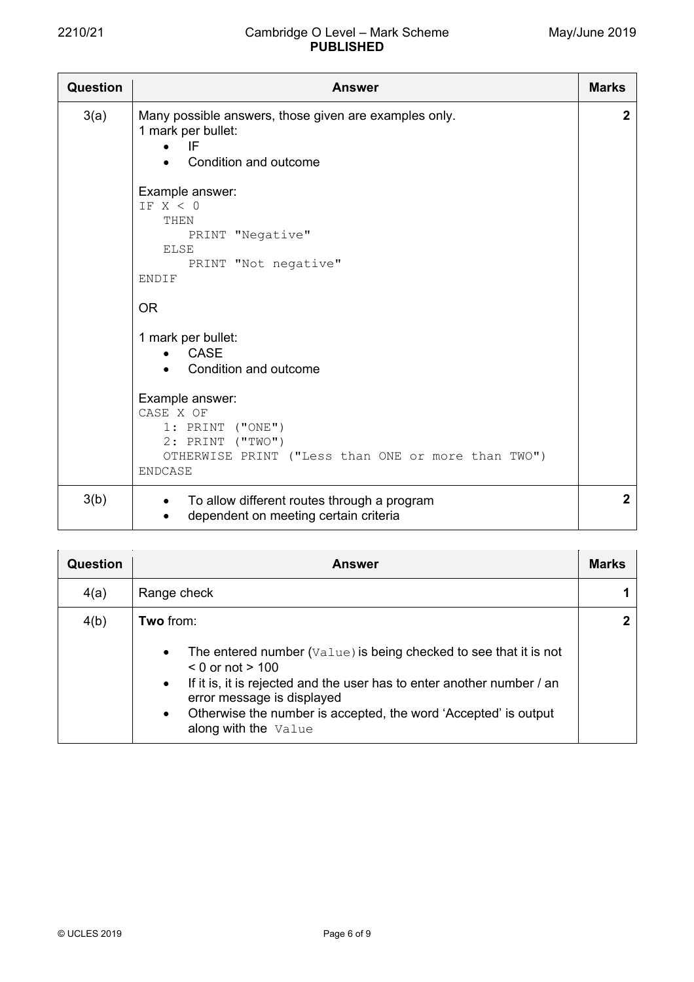| <b>Question</b> | <b>Answer</b>                                                                                                                                                                                                         |                |  |  |  |  |
|-----------------|-----------------------------------------------------------------------------------------------------------------------------------------------------------------------------------------------------------------------|----------------|--|--|--|--|
| 3(a)            | Many possible answers, those given are examples only.<br>1 mark per bullet:<br>IF<br>Condition and outcome<br>Example answer:<br>TF X < 0<br>THEN<br>PRINT "Negative"<br><b>ELSE</b><br>PRINT "Not negative"<br>ENDIF |                |  |  |  |  |
|                 | <b>OR</b>                                                                                                                                                                                                             |                |  |  |  |  |
|                 | 1 mark per bullet:<br><b>CASE</b><br>Condition and outcome                                                                                                                                                            |                |  |  |  |  |
|                 | Example answer:<br>CASE X OF<br>$1:$ PRINT ("ONE")<br>2: PRINT ("TWO")<br>OTHERWISE PRINT ("Less than ONE or more than TWO")<br><b>ENDCASE</b>                                                                        |                |  |  |  |  |
| 3(b)            | To allow different routes through a program<br>$\bullet$<br>dependent on meeting certain criteria                                                                                                                     | $\overline{2}$ |  |  |  |  |

| Question | <b>Answer</b>                                                                                                                                                                                                                                                                                                                                                   | <b>Marks</b> |
|----------|-----------------------------------------------------------------------------------------------------------------------------------------------------------------------------------------------------------------------------------------------------------------------------------------------------------------------------------------------------------------|--------------|
| 4(a)     | Range check                                                                                                                                                                                                                                                                                                                                                     |              |
| 4(b)     | Two from:                                                                                                                                                                                                                                                                                                                                                       | $\mathbf{2}$ |
|          | The entered number $(\forall a \land \exists w \in b)$ is being checked to see that it is not<br>$\bullet$<br>$<$ 0 or not $>$ 100<br>If it is, it is rejected and the user has to enter another number / an<br>$\bullet$<br>error message is displayed<br>Otherwise the number is accepted, the word 'Accepted' is output<br>$\bullet$<br>along with the Value |              |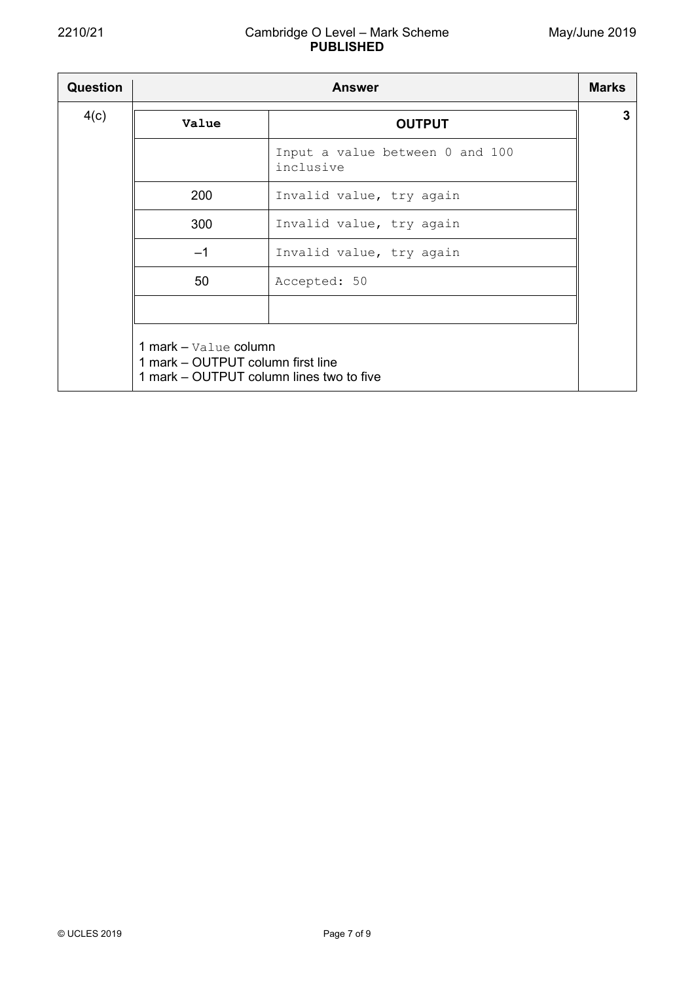## 2210/21 Cambridge O Level – Mark Scheme **PUBLISHED**

| <b>Question</b> | <b>Answer</b>                                                                                          |                                              |   |  |  |
|-----------------|--------------------------------------------------------------------------------------------------------|----------------------------------------------|---|--|--|
| 4(c)            | Value                                                                                                  | <b>OUTPUT</b>                                | 3 |  |  |
|                 |                                                                                                        | Input a value between 0 and 100<br>inclusive |   |  |  |
|                 | 200                                                                                                    | Invalid value, try again                     |   |  |  |
|                 | 300                                                                                                    | Invalid value, try again                     |   |  |  |
|                 | $-1$                                                                                                   | Invalid value, try again                     |   |  |  |
|                 | 50                                                                                                     | Accepted: 50                                 |   |  |  |
|                 |                                                                                                        |                                              |   |  |  |
|                 | 1 mark - Value column<br>1 mark – OUTPUT column first line<br>1 mark – OUTPUT column lines two to five |                                              |   |  |  |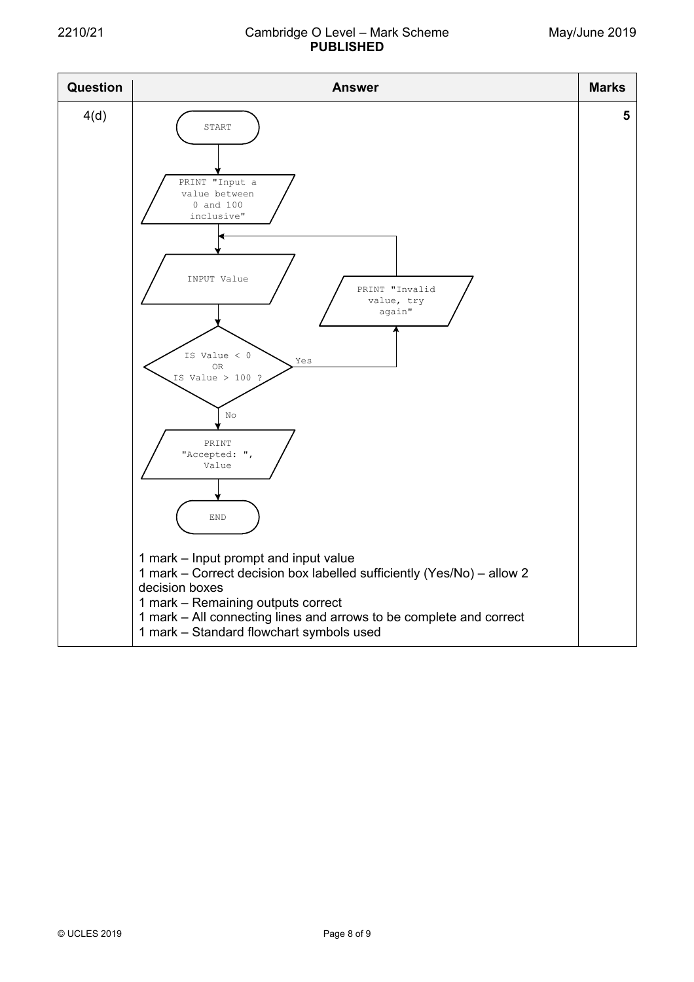## 2210/21 Cambridge O Level – Mark Scheme **PUBLISHED**